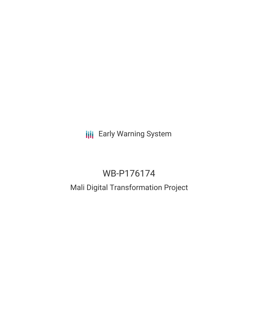**III** Early Warning System

# WB-P176174

# Mali Digital Transformation Project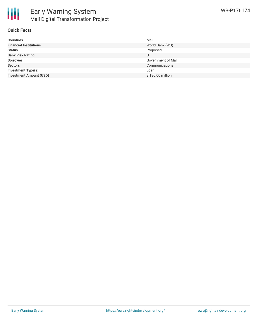

#### **Quick Facts**

| <b>Countries</b>               | Mali                      |
|--------------------------------|---------------------------|
| <b>Financial Institutions</b>  | World Bank (WB)           |
| <b>Status</b>                  | Proposed                  |
| <b>Bank Risk Rating</b>        |                           |
| <b>Borrower</b>                | <b>Government of Mali</b> |
| <b>Sectors</b>                 | Communications            |
| <b>Investment Type(s)</b>      | Loan                      |
| <b>Investment Amount (USD)</b> | \$130.00 million          |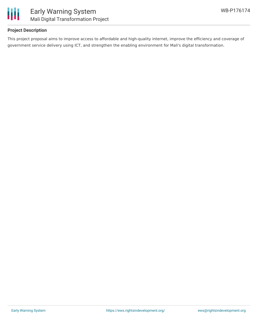

#### **Project Description**

This project proposal aims to improve access to affordable and high-quality internet, improve the efficiency and coverage of government service delivery using ICT, and strengthen the enabling environment for Mali's digital transformation.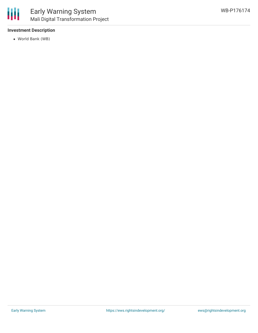

#### **Investment Description**

World Bank (WB)